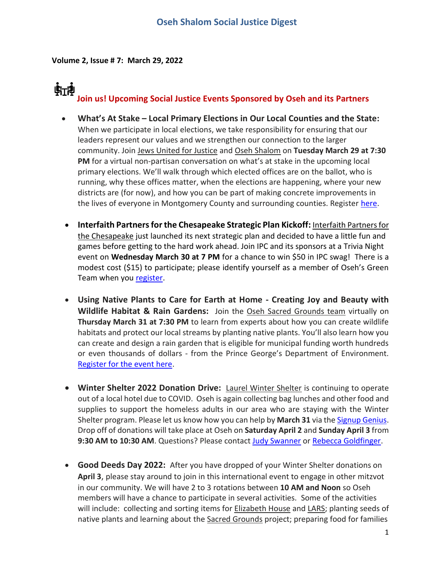**Volume 2, Issue # 7: March 29, 2022**

# **Join us! Upcoming Social Justice Events Sponsored by Oseh and its Partners**

- **What's At Stake – Local Primary Elections in Our Local Counties and the State:** When we participate in local elections, we take responsibility for ensuring that our leaders represent our values and we strengthen our connection to the larger community. Join Jews United for Justice and Oseh Shalom on **Tuesday March 29 at 7:30 PM** for a virtual non-partisan conversation on what's at stake in the upcoming local primary elections. We'll walk through which elected offices are on the ballot, who is running, why these offices matter, when the elections are happening, where your new districts are (for now), and how you can be part of making concrete improvements in the lives of everyone in Montgomery County and surrounding counties. Register [here.](https://oseh-shalom.us12.list-manage.com/track/click?u=b2e43349ac435e46492a3259d&id=ff1ac3bae8&e=38c5d78226)
- **Interfaith Partners for the Chesapeake Strategic Plan Kickoff:** Interfaith Partners for the Chesapeake just launched its next strategic plan and decided to have a little fun and games before getting to the hard work ahead. Join IPC and its sponsors at a Trivia Night event on **Wednesday March 30 at 7 PM** for a chance to win \$50 in IPC swag! There is a modest cost (\$15) to participate; please identify yourself as a member of Oseh's Green Team when you [register.](https://www.interfaithchesapeake.org/trivia_2022)
- **Using Native Plants to Care for Earth at Home - Creating Joy and Beauty with Wildlife Habitat & Rain Gardens:** Join the Oseh Sacred Grounds team virtually on **Thursday March 31 at 7:30 PM** to learn from experts about how you can create wildlife habitats and protect our local streams by planting native plants. You'll also learn how you can create and design a rain garden that is eligible for municipal funding worth hundreds or even thousands of dollars - from the Prince George's Department of Environment. [Register for the event here.](https://oseh-shalom.us12.list-manage.com/track/click?u=b2e43349ac435e46492a3259d&id=5dc5fab996&e=38c5d78226)
- **Winter Shelter 2022 Donation Drive:** Laurel Winter Shelter is continuing to operate out of a local hotel due to COVID. Oseh is again collecting bag lunches and other food and supplies to support the homeless adults in our area who are staying with the Winter Shelter program. Please let us know how you can help by **March 31** via the [Signup Genius.](https://oseh-shalom.us12.list-manage.com/track/click?u=b2e43349ac435e46492a3259d&id=76144ba851&e=38c5d78226) Drop off of donations will take place at Oseh on **Saturday April 2** and **Sunday April 3** from **9:30 AM to 10:30 AM**. Questions? Please contac[t Judy Swanner](mailto:swannerjudy@gmail.com) or [Rebecca Goldfinger.](mailto:rlkemp@gmail.com)
- **Good Deeds Day 2022:** After you have dropped of your Winter Shelter donations on **April 3**, please stay around to join in this international event to engage in other mitzvot in our community. We will have 2 to 3 rotations between **10 AM and Noon** so Oseh members will have a chance to participate in several activities. Some of the activities will include: collecting and sorting items for Elizabeth House and LARS; planting seeds of native plants and learning about the Sacred Grounds project; preparing food for families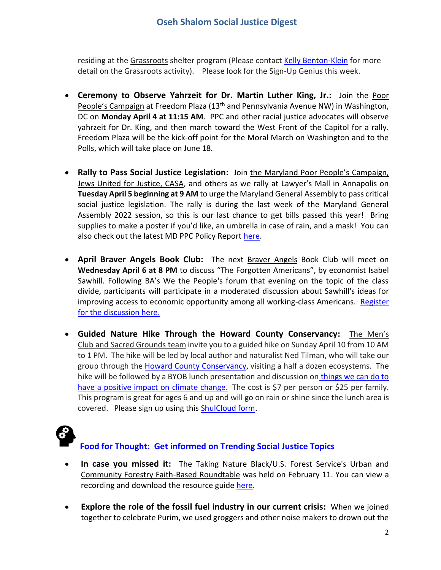residing at the Grassroots shelter program (Please contact [Kelly Benton-Klein](mailto:ksk4you@aol.com) for more detail on the Grassroots activity). Please look for the Sign-Up Genius this week.

- **Ceremony to Observe Yahrzeit for Dr. Martin Luther King, Jr.:** Join the Poor People's Campaign at Freedom Plaza (13<sup>th</sup> and Pennsylvania Avenue NW) in Washington, DC on **Monday April 4 at 11:15 AM**. PPC and other racial justice advocates will observe yahrzeit for Dr. King, and then march toward the West Front of the Capitol for a rally. Freedom Plaza will be the kick-off point for the Moral March on Washington and to the Polls, which will take place on June 18.
- **Rally to Pass Social Justice Legislation:** Join the Maryland Poor People's Campaign, Jews United for Justice, CASA, and others as we rally at Lawyer's Mall in Annapolis on **Tuesday April 5 beginning at 9 AM** to urge the Maryland General Assembly to pass critical social justice legislation. The rally is during the last week of the Maryland General Assembly 2022 session, so this is our last chance to get bills passed this year! Bring supplies to make a poster if you'd like, an umbrella in case of rain, and a mask! You can also check out the latest MD PPC Policy Report [here.](https://www.poorpeoplescampaign.org/action/md-ppc-policy-wg-report-3-28-22/?link_id=9&can_id=6aab24cfe0110739a192b62183e41ec3&source=email-md-ppc-weekly-update-69&email_referrer=email_1488617&email_subject=md-ppc-weekly-update)
- **April Braver Angels Book Club:** The next Braver Angels Book Club will meet on **Wednesday April 6 at 8 PM** to discuss "The Forgotten Americans", by economist Isabel Sawhill. Following BA's We the People's forum that evening on the topic of the class divide, participants will participate in a moderated discussion about Sawhill's ideas for improving access to economic opportunity among all working-class Americans. Register [for the discussion here.](https://www.eventbrite.com/e/book-discussion-the-forgotten-americans-ba-national-library-registration-292717484877)
- **Guided Nature Hike Through the Howard County Conservancy:** The Men's Club and Sacred Grounds team invite you to a guided hike on Sunday April 10 from 10 AM to 1 PM. The hike will be led by local author and naturalist Ned Tilman, who will take our group through the [Howard County Conservancy,](https://oseh-shalom.us12.list-manage.com/track/click?u=b2e43349ac435e46492a3259d&id=5ce92f6c3c&e=38c5d78226) visiting a half a dozen ecosystems. The hike will be followed by a BYOB lunch presentation and discussion on [things we can do to](https://oseh-shalom.us12.list-manage.com/track/click?u=b2e43349ac435e46492a3259d&id=460d1c6459&e=38c5d78226)  [have a positive impact on climate change](https://oseh-shalom.us12.list-manage.com/track/click?u=b2e43349ac435e46492a3259d&id=460d1c6459&e=38c5d78226). The cost is \$7 per person or \$25 per family. This program is great for ages 6 and up and will go on rain or shine since the lunch area is covered. Please sign up using this **ShulCloud form**.



### **Food for Thought: Get informed on Trending Social Justice Topics**

- **In case you missed it:** The Taking Nature Black/U.S. Forest Service's Urban and Community Forestry Faith-Based Roundtable was held on February 11. You can view a recording and download the resource guide [here.](https://anshome.org/taking-nature-black/?blm_aid=252893185)
- **Explore the role of the fossil fuel industry in our current crisis:** When we joined together to celebrate Purim, we used groggers and other noise makers to drown out the